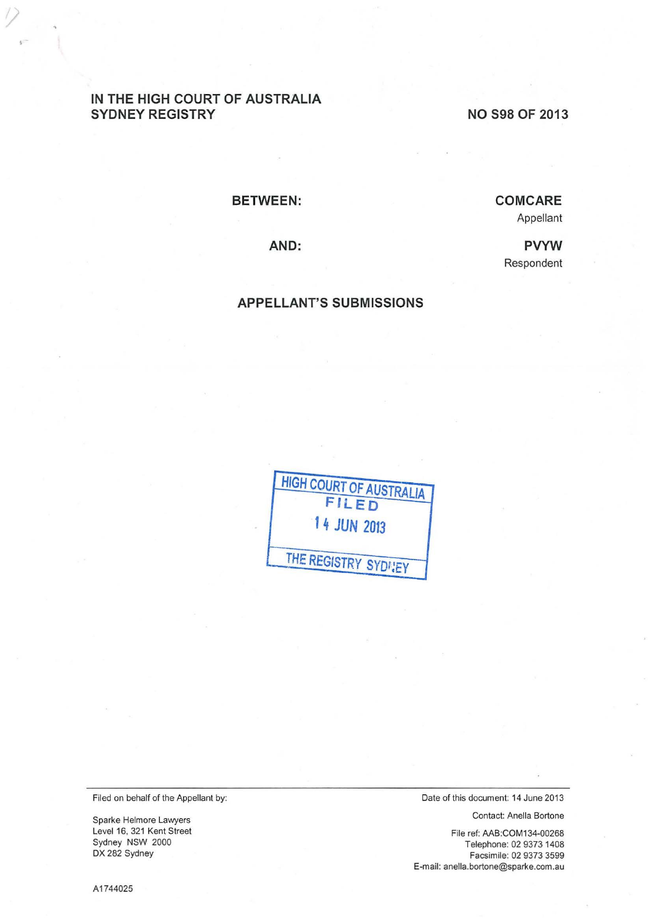# **IN THE HIGH COURT OF AUSTRALIA SYDNEY REGISTRY**

**NO S98 OF 2013** 

#### **BETWEEN:**

# **COM CARE**

Appellant

**PVYW**  Respondent

**AND:** 

#### **APPELLANT'S SUBMISSIONS**

| <b>HIGH COURT OF AUSTRALIA</b><br>FILED |
|-----------------------------------------|
| 14 JUN 2013                             |
| THE REGISTRY SYDNEY                     |

Filed on behalf of the Appellant by:

Sparke Helmore Lawyers Level 16, 321 Kent Street Sydney NSW 2000 DX 282 Sydney

Date of this document: 14 June 2013

Contact: Anella Bortone

File ref: AAB:COM134-00268 Telephone: 02 9373 1408 Facsimile: 02 9373 3599 E-mail: anella.bortone@sparke.com.au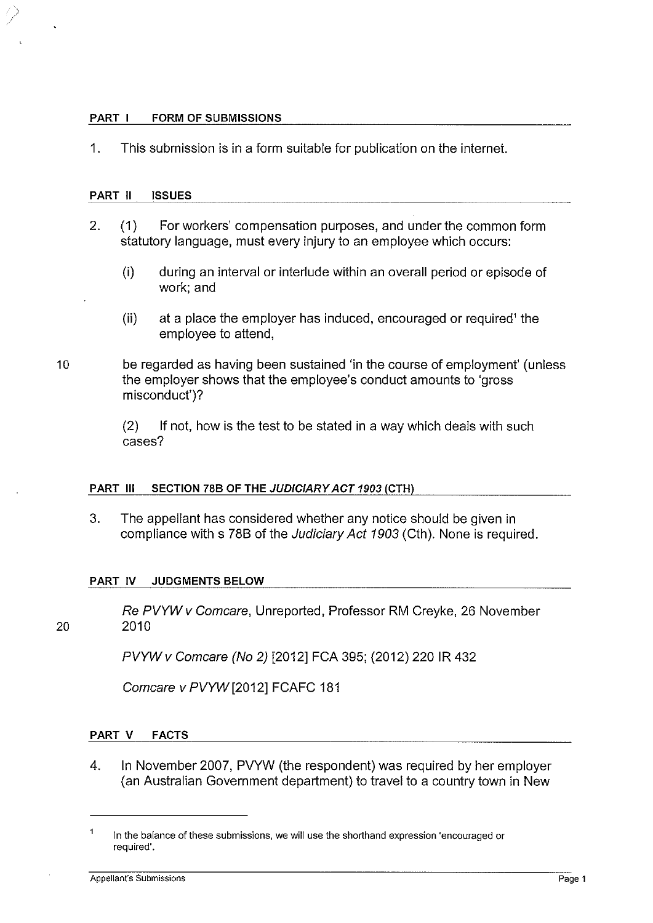#### PART I FORM OF SUBMISSIONS

1. This submission is in a form suitable for publication on the internet.

#### PART II ISSUES

- 2. (1) For workers' compensation purposes, and under the common form statutory language, must every injury to an employee which occurs:
	- (i) during an interval or interlude within an overall period or episode of work; and
	- (ii) at a place the employer has induced, encouraged or required' the employee to attend,
- 10 be regarded as having been sustained 'in the course of employment' (unless the employer shows that the employee's conduct amounts to 'gross misconduct')?

(2) If not, how is the test to be stated in a way which deals with such cases?

## PART Ill SECTION 78B OF THE JUDICIARY ACT 1903 (CTH)

3. The appellant has considered whether any notice should be given in compliance with s 788 of the Judiciary Act 1903 (Cth). None is required.

## PART IV JUDGMENTS BELOW

Re PVYW v Comcare, Unreported, Professor RM Creyke, 26 November 20 2010

PVYWv Comcare (No 2) [2012] FCA 395; (2012) 220 IR 432

Comcare v PVYW [2012] FCAFC 181

## PART V FACTS

4. In November 2007, PVYW (the respondent) was required by her employer (an Australian Government department) to travel to a country town in New

In the balance of these submissions, we will use the shorthand expression 'encouraged or required'.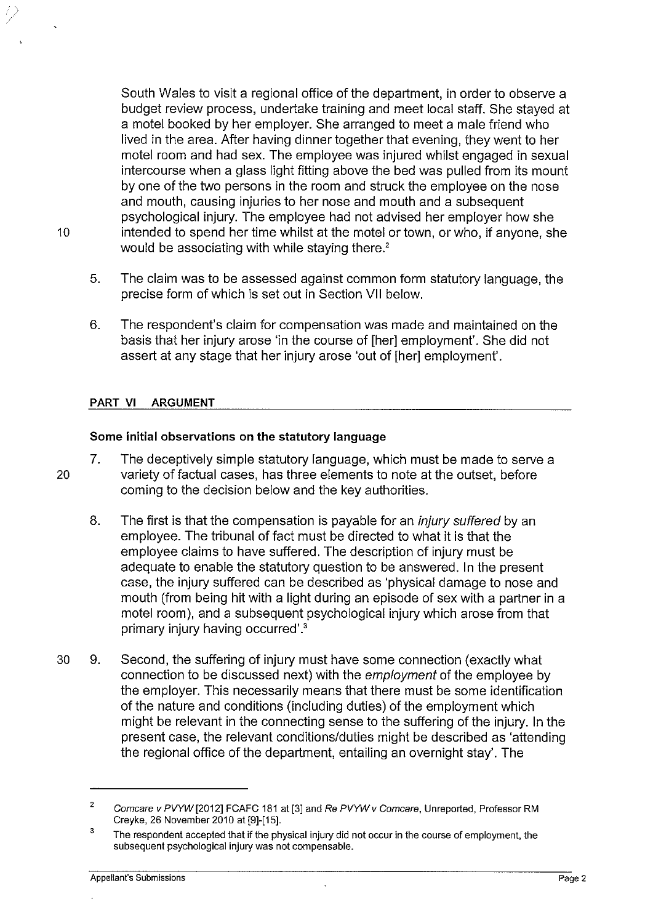South Wales to visit a regional office of the department, in order to observe a budget review process, undertake training and meet local staff. She stayed at a motel booked by her employer. She arranged to meet a male friend who lived in the area. After having dinner together that evening, they went to her motel room and had sex. The employee was injured whilst engaged in sexual intercourse when a glass light fitting above the bed was pulled from its mount by one of the two persons in the room and struck the employee on the nose and mouth, causing injuries to her nose and mouth and a subsequent psychological injury. The employee had not advised her employer how she 10 intended to spend her time whilst at the motel or town, or who, if anyone, she would be associating with while staying there.<sup>2</sup>

- 5. The claim was to be assessed against common form statutory language, the precise form of which is set out in Section VII below.
- 6. The respondent's claim for compensation was made and maintained on the basis that her injury arose 'in the course of [her] employment'. She did not assert at any stage that her injury arose 'out of [her] employment'.

## **PART VI ARGUMENT**

## **Some initial observations on the statutory language**

- 7. The deceptively simple statutory language, which must be made to serve a 20 variety of factual cases, has three elements to note at the outset, before coming to the decision below and the key authorities.
	- 8. The first is that the compensation is payable for an *injury suffered* by an employee. The tribunal of fact must be directed to what it is that the employee claims to have suffered. The description of injury must be adequate to enable the statutory question to be answered. In the present case, the injury suffered can be described as 'physical damage to nose and mouth (from being hit with a light during an episode of sex with a partner in a motel room), and a subsequent psychological injury which arose from that primary injury having occurred'.<sup>3</sup>
- 30 9. Second, the suffering of injury must have some connection (exactly what connection to be discussed next) with the employment of the employee by the employer. This necessarily means that there must be some identification of the nature and conditions (including duties) of the employment which might be relevant in the connecting sense to the suffering of the injury. In the present case, the relevant conditions/duties might be described as 'attending the regional office of the department, entailing an overnight stay'. The

<sup>2</sup>  Comcare v PVYW [2012] FCAFC 181 at [3] and Re PVYW v Comcare, Unreported, Professor RM Creyke, 26 November 2010 at [9]-[15].

<sup>3</sup>  The respondent accepted that if the physical injury did not occur in the course of employment, the subsequent psychological injury was not compensable.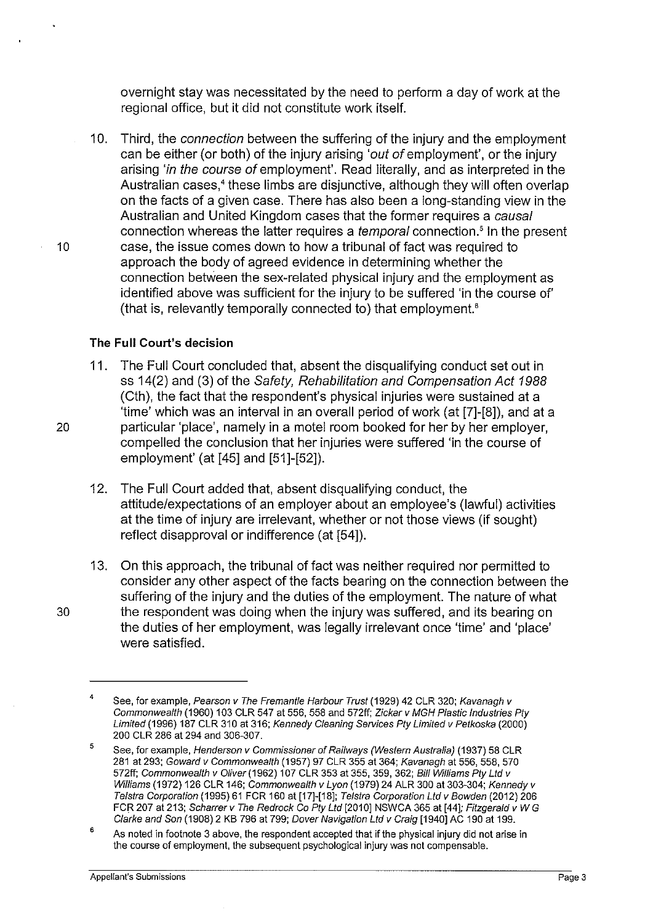overnight stay was necessitated by the need to perform a day of work at the regional office, but it did not constitute work itself.

10. Third, the connection between the suffering of the injury and the employment can be either (or both) of the injury arising 'out of employment', or the injury arising 'in the course of employment'. Read literally, and as interpreted in the Australian cases,• these limbs are disjunctive, although they will often overlap on the facts of a given case. There has also been a long-standing view in the Australian and United Kingdom cases that the former requires a causal connection whereas the latter requires a *temporal* connection.<sup>5</sup> In the present 10 case, the issue comes down to how a tribunal of fact was required to approach the body of agreed evidence in determining whether the connection between the sex-related physical injury and the employment as identified above was sufficient for the injury to be suffered 'in the course of' (that is, relevantly temporally connected to) that employment.<sup>6</sup>

## **The Full Court's decision**

- 11. The Full Court concluded that, absent the disqualifying conduct set out in ss 14(2) and (3) of the Safety, Rehabilitation and Compensation Act 1988 (Cth), the fact that the respondent's physical injuries were sustained at a 'time' which was an interval in an overall period of work (at [7]-[8]), and at a 20 particular 'place', namely in a motel room booked for her by her employer, compelled the conclusion that her injuries were suffered 'in the course of employment' (at [45] and [51]-[52]).
	- 12. The Full Court added that, absent disqualifying conduct, the attitude/expectations of an employer about an employee's (lawful) activities at the time of injury are irrelevant, whether or not those views (if sought) reflect disapproval or indifference (at [54]).
- 13. On this approach, the tribunal of fact was neither required nor permitted to consider any other aspect of the facts bearing on the connection between the suffering of the injury and the duties of the employment. The nature of what 30 the respondent was doing when the injury was suffered, and its bearing on the duties of her employment, was legally irrelevant once 'time' and 'place' were satisfied.

<sup>4</sup>  See, for example, Pearson v The Fremantle Harbour Trust (1929) 42 CLR 320; Kavanagh v Commonwealth (1960) 103 CLR 547 at 556. 558 and 57211; Zickar v MGH Plastic Industries Pty Limited (1996) 187 CLR 310 at 316; Kennedy Cleaning Services Pty Limited v Petkoska (2000) 200 CLR 286 at 294 and 306-307.

<sup>5</sup>  See, for example, Henderson v Commissioner of Railways (Western Australia) (1937) 58 CLR 281 at 293; Goward v Commonwealth (1957) 97 CLR 355 at 364; Kavanagh at 556. 558, 570 572ff; Commonwealth v Oliver (1962) 107 CLR 353 at 355, 359, 362; Bill Williams Pty Ltd v Williams (1972) 126 CLR 146; Commonwealth v Lyon (1979) 24 ALR 300 at 303-304; Kennedy v Telstra Corporation (1995) 61 FCR 160 at [17]-[18]; Telstra Corporation Ltd v Bowden (2012) 206 FCR 207 at 213; Scharrer v The Redrock Co Pty Ltd [2010] NSWCA 365 at [44]; Fitzgerald v W G Clarke and Son (1908) 2 KB 796 at 799; Dover Navigation Ltd v Craig [1940] AC 190 at 199.

<sup>6</sup>  As noted in footnote 3 above, the respondent accepted that if the physical injury did not arise in the course of employment. the subsequent psychological injury was not compensable.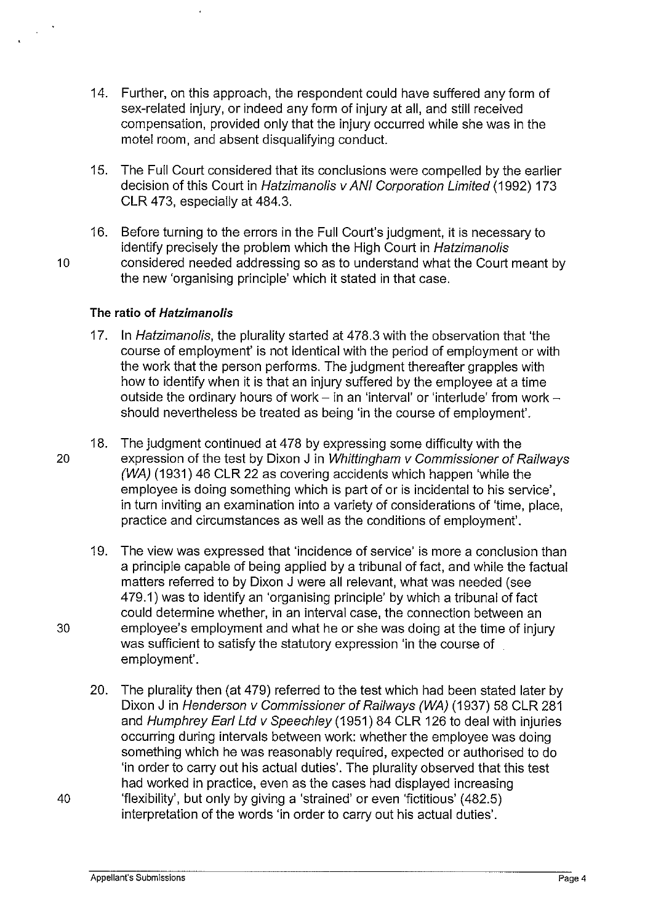- 14. Further, on this approach, the respondent could have suffered any form of sex-related injury, or indeed any form of injury at all, and still received compensation, provided only that the injury occurred while she was in the motel room, and absent disqualifying conduct.
- 15. The Full Court considered that its conclusions were compelled by the earlier decision of this Court in Hatzimanolis v ANI Corporation Limited (1992) 173 CLR 473, especially at 484.3.
- 16. Before turning to the errors in the Full Court's judgment, it is necessary to identify precisely the problem which the High Court in Hatzimanolis 10 considered needed addressing so as to understand what the Court meant by the new 'organising principle' which it stated in that case.

## **The ratio of Hatzimanolis**

- 17. In Hatzimanolis, the plurality started at 478.3 with the observation that 'the course of employment' is not identical with the period of employment or with the work that the person performs. The judgment thereafter grapples with how to identify when it is that an injury suffered by the employee at a time outside the ordinary hours of work  $-$  in an 'interval' or 'interlude' from work  $$ should nevertheless be treated as being 'in the course of employment'.
- 18. The judgment continued at 478 by expressing some difficulty with the 20 expression of the test by Dixon J in Whittingham *v* Commissioner of Railways (WA) (1931) 46 CLR 22 as covering accidents which happen 'while the employee is doing something which is part of or is incidental to his service', in turn inviting an examination into a variety of considerations of 'time, place, practice and circumstances as well as the conditions of employment'.
- 19. The view was expressed that 'incidence of service' is more a conclusion than a principle capable of being applied by a tribunal of fact, and while the factual matters referred to by Dixon J were all relevant, what was needed (see 479.1) was to identify an 'organising principle' by which a tribunal of fact could determine whether, in an interval case, the connection between an 30 employee's employment and what he or she was doing at the time of injury was sufficient to satisfy the statutory expression 'in the course of employment'.
- 20. The plurality then (at 479) referred to the test which had been stated later by Dixon J in Henderson v Commissioner of Railways (WA) (1937) 58 CLR 281 and Humphrey Earl Ltd v Speechley (1951) 84 CLR 126 to deal with injuries occurring during intervals between work: whether the employee was doing something which he was reasonably required, expected or authorised to do 'in order to carry out his actual duties'. The plurality observed that this test had worked in practice, even as the cases had displayed increasing 40 'flexibility', but only by giving a 'strained' or even 'fictitious' (482.5) interpretation of the words 'in order to carry out his actual duties'.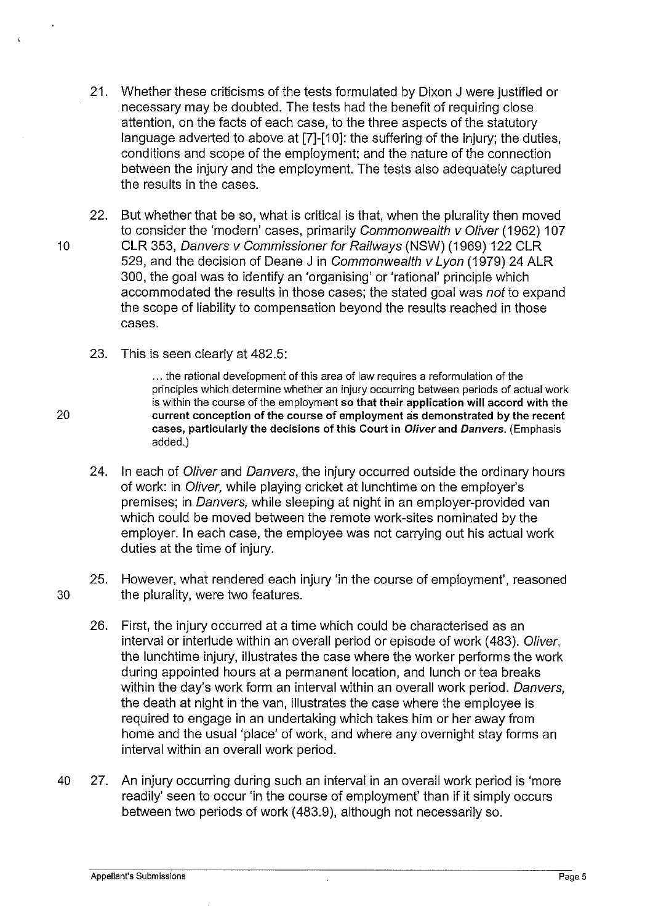- 21. Whether these criticisms of the tests formulated by Dixon J were justified or necessary may be doubted. The tests had the benefit of requiring close attention, on the facts of each case, to the three aspects of the statutory language adverted to above at [7]-[10]: the suffering of the injury; the duties, conditions and scope of the employment; and the nature of the connection between the injury and the employment. The tests also adequately captured the results in the cases.
- 22. But whether that be so, what is critical is that, when the plurality then moved to consider the 'modern' cases, primarily Commonwealth v Oliver (1962) 107 10 CLR 353, Danvers v Commissioner for Railways (NSW) (1969) 122 CLR 529, and the decision of Deane J in Commonwealth v Lyon (1979) 24 ALR 300, the goal was to identify an 'organising' or 'rational' principle which accommodated the results in those cases; the stated goal was not to expand the scope of liability to compensation beyond the results reached in those cases.
	- 23. This is seen clearly at 482.5:

... the rational development of this area of law requires a reformulation of the principles which determine whether an injury occurring between periods of actual work is within the course of the employment so that their application will accord with the 20 current conception of the course of employment as demonstrated by the recent cases, particularly the decisions of this Court in Oliver and Danvers. (Emphasis added.)

- 24. In each of Oliver and Danvers, the injury occurred outside the ordinary hours of work: in Oliver, while playing cricket at lunchtime on the employer's premises; in Danvers, while sleeping at night in an employer-provided van which could be moved between the remote work-sites nominated by the employer. In each case, the employee was not carrying out his actual work duties at the time of injury.
- 25. However, what rendered each injury 'in the course of employment', reasoned 30 the plurality, were two features.
	- 26. First, the injury occurred at a time which could be characterised as an interval or interlude within an overall period or episode of work (483). Oliver, the lunchtime injury, illustrates the case where the worker performs the work during appointed hours at a permanent location, and lunch or tea breaks within the day's work form an interval within an overall work period. Danvers, the death at night in the van, illustrates the case where the employee is required to engage in an undertaking which takes him or her away from home and the usual 'place' of work, and where any overnight stay forms an interval within an overall work period.
- 40 27. An injury occurring during such an interval in an overall work period is 'more readily' seen to occur 'in the course of employment' than if it simply occurs between two periods of work (483.9), although not necessarily so.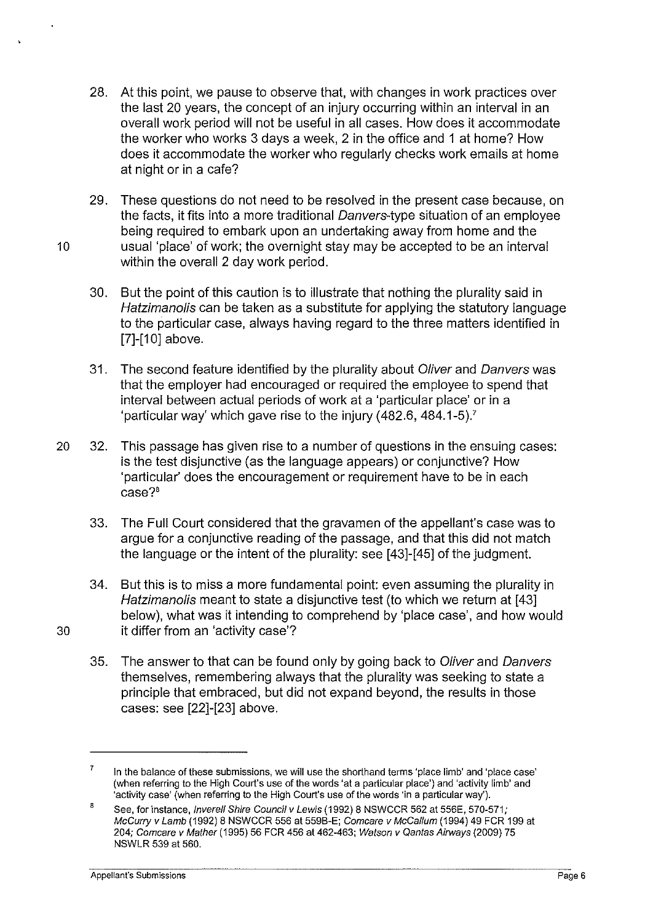- 28. At this point, we pause to observe that, with changes in work practices over the last 20 years, the concept of an injury occurring within an interval in an overall work period will not be useful in all cases. How does it accommodate the worker who works 3 days a week, 2 in the office and 1 at home? How does it accommodate the worker who regularly checks work emails at home at night or in a cafe?
- 29. These questions do not need to be resolved in the present case because, on the facts, it fits into a more traditional Danvers-type situation of an employee being required to embark upon an undertaking away from home and the 10 usual 'place' of work; the overnight stay may be accepted to be an interval within the overall 2 day work period.
	- 30. But the point of this caution is to illustrate that nothing the plurality said in Hatzimanolis can be taken as a substitute for applying the statutory language to the particular case, always having regard to the three matters identified in [7]-[10] above.
	- 31. The second feature identified by the plurality about Oliver and Danvers was that the employer had encouraged or required the employee to spend that interval between actual periods of work at a 'particular place' or in a 'particular way' which gave rise to the injury (482.6, 484.1-5}.<sup>7</sup>
- 20 32. This passage has given rise to a number of questions in the ensuing cases: is the test disjunctive (as the language appears) or conjunctive? How 'particular' does the encouragement or requirement have to be in each case?'
	- 33. The Full Court considered that the gravamen of the appellant's case was to argue for a conjunctive reading of the passage, and that this did not match the language or the intent of the plurality: see [43]-[45] of the judgment.
- 34. But this is to miss a more fundamental point: even assuming the plurality in Hatzimanolis meant to state a disjunctive test (to which we return at [43] below}, what was it intending to comprehend by 'place case', and how would 30 it differ from an 'activity case'?
	- 35. The answer to that can be found only by going back to Oliver and Danvers themselves, remembering always that the plurality was seeking to state a principle that embraced, but did not expand beyond, the results in those cases: see [22]-[23] above.

<sup>7</sup>  In the balance ofthese submissions, we will use the shorthand terms 'place limb' and 'place case' (when referring to the High Court's use of the words 'at a particular place') and 'activity limb' and 'activity case' (when referring to the High Court's use of the words 'in a particular way').

<sup>8</sup>  See, for instance, *Inverell Shire Council v Lewis* (1992) 8 NSWCCR 562 at 556E, 570-571; McCurry v Lamb (1992) 8 NSWCCR 556 at 5596-E; Comcare v McCallum (1994) 49 FCR 199 at 204; Comcare v Mather (1995) 56 FCR 456 at 462-463; Watson v Qantas Airways (2009) 75 NSWLR 539 at 560.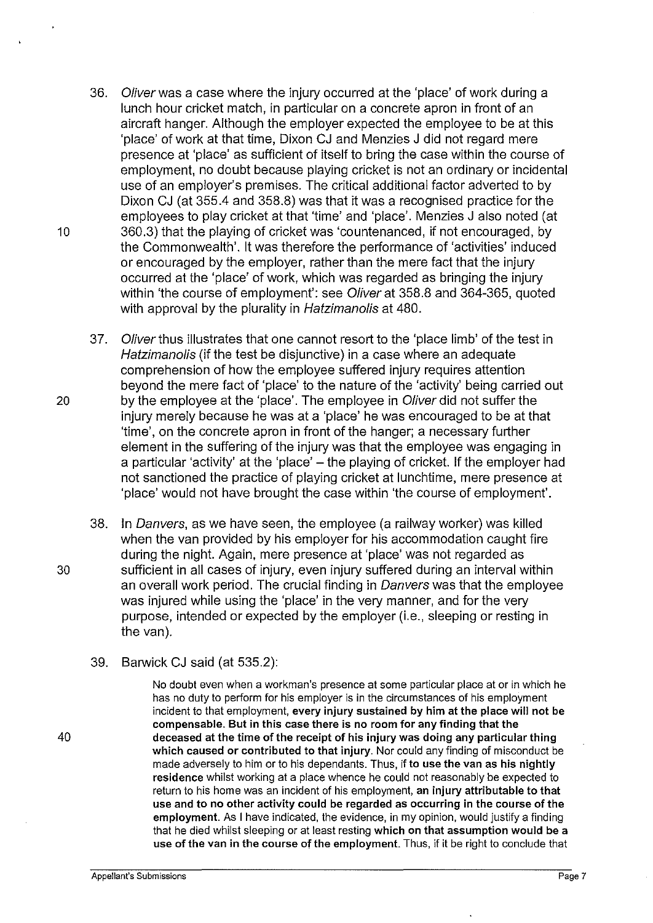- 36. Oliver was a case where the injury occurred at the 'place' of work during a lunch hour cricket match, in particular on a concrete apron in front of an aircraft hanger. Although the employer expected the employee to be at this 'place' of work at that time, Dixon CJ and Menzies J did not regard mere presence at 'place' as sufficient of itself to bring the case within the course of employment, no doubt because playing cricket is not an ordinary or incidental use of an employer's premises. The critical additional factor adverted to by Dixon CJ (at 355.4 and 358.8) was that it was a recognised practice for the employees to play cricket at that 'time' and 'place'. Menzies J also noted (at 10 360.3) that the playing of cricket was 'countenanced, if not encouraged, by the Commonwealth'. It was therefore the performance of 'activities' induced or encouraged by the employer, rather than the mere fact that the injury occurred at the 'place' of work, which was regarded as bringing the injury within 'the course of employment': see Oliver at 358.8 and 364-365, quoted with approval by the plurality in Hatzimanolis at 480.
- 37. Oliver thus illustrates that one cannot resort to the 'place limb' of the test in Hatzimanolis (if the test be disjunctive) in a case where an adequate comprehension of how the employee suffered injury requires attention beyond the mere fact of 'place' to the nature of the 'activity' being carried out 20 by the employee at the 'place'. The employee in *Oliver* did not suffer the injury merely because he was at a 'place' he was encouraged to be at that 'time', on the concrete apron in front of the hanger; a necessary further element in the suffering of the injury was that the employee was engaging in a particular 'activity' at the 'place' - the playing of cricket. If the employer had not sanctioned the practice of playing cricket at lunchtime, mere presence at 'place' would not have brought the case within 'the course of employment'.
- 38. In Danvers, as we have seen, the employee (a railway worker) was killed when the van provided by his employer for his accommodation caught fire during the night. Again, mere presence at 'place' was not regarded as 30 sufficient in all cases of injury, even injury suffered during an interval within an overall work period. The crucial finding in Danvers was that the employee was injured while using the 'place' in the very manner, and for the very purpose, intended or expected by the employer (i.e., sleeping or resting in the van).
	- 39. Barwick CJ said (at 535.2):

No doubt even when a workman's presence at some particular place at or in which he has no duty to perform for his employer is in the circumstances of his employment incident to that employment, every injury sustained by him at the place will not be compensable. But in this case there is no room for any finding that the deceased at the time of the receipt of his injury was doing any particular thing which caused or contributed to that injury. Nor could any finding of misconduct be made adversely to him or to his dependants. Thus, if to use the van as his nightly residence whilst working at a place whence he could not reasonably be expected to return to his home was an incident of his employment, an injury attributable to that use and to no other activity could be regarded as occurring in the course of the employment. As I have indicated, the evidence, in my opinion, would justify a finding that he died whilst sleeping or at least resting which on that assumption would be a use of the van in the course of the employment. Thus, if it be right to conclude that

40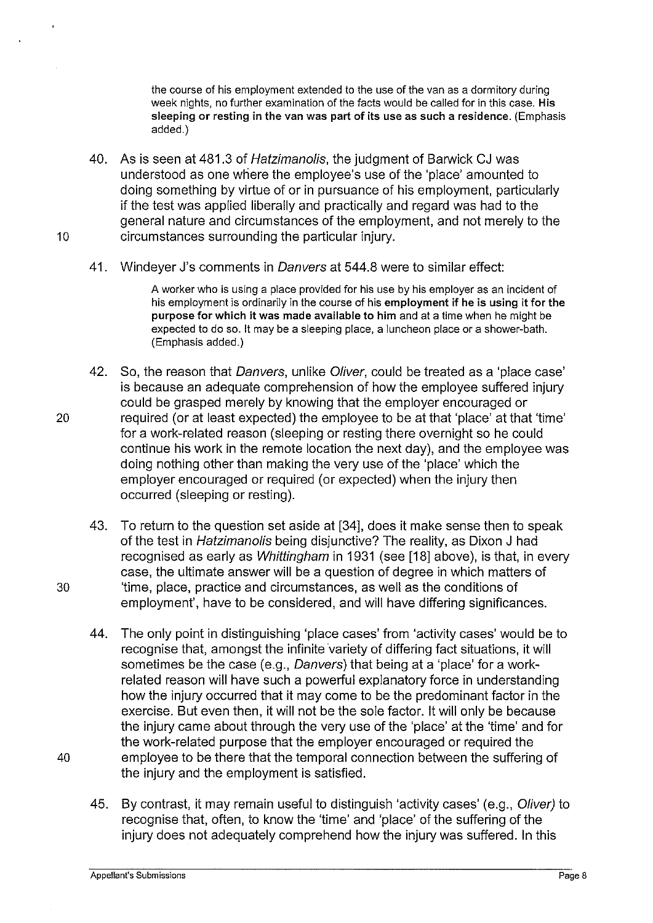the course of his employment extended to the use of the van as a dormitory during week nights, no further examination of the facts would be called for in this case. His sleeping or resting in the van was part of its use as such a residence. (Emphasis added.)

- 40. As is seen at 481.3 of Hatzimanolis, the judgment of Barwick CJ was understood as one where the employee's use of the 'place' amounted to doing something by virtue of or in pursuance of his employment, particularly if the test was applied liberally and practically and regard was had to the general nature and circumstances of the employment, and not merely to the 10 circumstances surrounding the particular injury.
	- 41. Windever J's comments in Danvers at 544.8 were to similar effect:

A worker who is using a place provided for his use by his employer as an incident of his employment is ordinarily in the course of his employment if he is using it for the purpose for which it was made available to him and at a time when he might be expected to do so. It may be a sleeping place, a luncheon place or a shower-bath. (Emphasis added.)

- 42. So, the reason that Danvers, unlike Oliver, could be treated as a 'place case' is because an adequate comprehension of how the employee suffered injury could be grasped merely by knowing that the employer encouraged or 20 required (or at least expected) the employee to be at that 'place' at that 'time' for a work-related reason (sleeping or resting there overnight so he could continue his work in the remote location the next day), and the employee was doing nothing other than making the very use of the 'place' which the employer encouraged or required (or expected) when the injury then occurred (sleeping or resting).
- 43. To return to the question set aside at [34], does it make sense then to speak of the test in Hatzimanolis being disjunctive? The reality, as Dixon J had recognised as early as Whittingham in 1931 (see [18] above), is that, in every case, the ultimate answer will be a question of degree in which matters of 30 'time, place, practice and circumstances, as well as the conditions of employment', have to be considered, and will have differing significances.
- 44. The only point in distinguishing 'place cases' from 'activity cases' would be to recognise that, amongst the infinite variety of differing fact situations, it will sometimes be the case (e.g., Danvers) that being at a 'place' for a workrelated reason will have such a powerful explanatory force in understanding how the injury occurred that it may come to be the predominant factor in the exercise. But even then, it will not be the sole factor. It will only be because the injury came about through the very use of the 'place' at the 'time' and for the work-related purpose that the employer encouraged or required the 40 employee to be there that the temporal connection between the suffering of the injury and the employment is satisfied.
	- 45. By contrast, it may remain useful to distinguish 'activity cases' (e.g., Oliver) to recognise that, often, to know the 'time' and 'place' of the suffering of the injury does not adequately comprehend how the injury was suffered. In this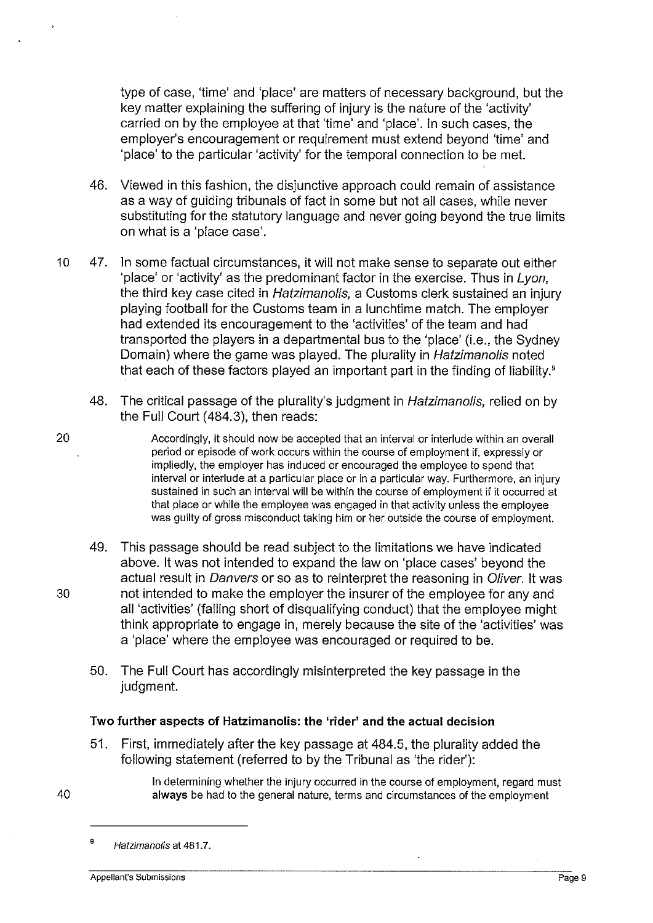type of case, 'time' and 'place' are matters of necessary background, but the key matter explaining the suffering of injury is the nature of the 'activity' carried on by the employee at that 'time' and 'place'. In such cases, the employer's encouragement or requirement must extend beyond 'time' and 'place' to the particular 'activity' for the temporal connection to be met.

- 46. Viewed in this fashion, the disjunctive approach could remain of assistance as a way of guiding tribunals of fact in some but not all cases, while never substituting for the statutory language and never going beyond the true limits on what is a 'place case'.
- 10 47. In some factual circumstances, it will not make sense to separate out either 'place' or 'activity' as the predominant factor in the exercise. Thus in Lyon, the third key case cited in Hatzimanolis, a Customs clerk sustained an injury playing football for the Customs team in a lunchtime match. The employer had extended its encouragement to the 'activities' of the team and had transported the players in a departmental bus to the 'place' (i.e., the Sydney Domain) where the game was played. The plurality in Hatzimanolis noted that each of these factors played an important part in the finding of liability.<sup>9</sup>
	- 48. The critical passage of the plurality's judgment in Hatzimanolis, relied on by the Full Court (484.3), then reads:
		- Accordingly, it should now be accepted that an interval or interlude within an overall period or episode of work occurs within the course of employment if, expressly or impliedly, the employer has induced or encouraged the employee to spend that interval or interlude at a particular place or in a particular way. Furthermore, an injury sustained in such an interval will be within the course of employment if it occurred at that place or while the employee was engaged in that activity unless the employee was guilty of gross misconduct taking him or her outside the course of employment.
- 49. This passage should be read subject to the limitations we have indicated above. It was not intended to expand the law on 'place cases' beyond the actual result in Danvers or so as to reinterpret the reasoning in Oliver. It was 30 not intended to make the employer the insurer of the employee for any and all 'activities' (falling short of disqualifying conduct) that the employee might think appropriate to engage in, merely because the site of the 'activities' was a 'place' where the employee was encouraged or required to be.
	- 50. The Full Court has accordingly misinterpreted the key passage in the judgment.

# Two further aspects of Hatzimanolis: the 'rider' and the actual decision

51. First, immediately after the key passage at 484.5, the plurality added the following statement (referred to by the Tribunal as 'the rider'):

> In determining whether the injury occurred in the course of employment, regard must always be had to the general nature, terms and circumstances of the employment

40

<sup>&</sup>lt;sup>9</sup> Hatzimanolis at 481.7.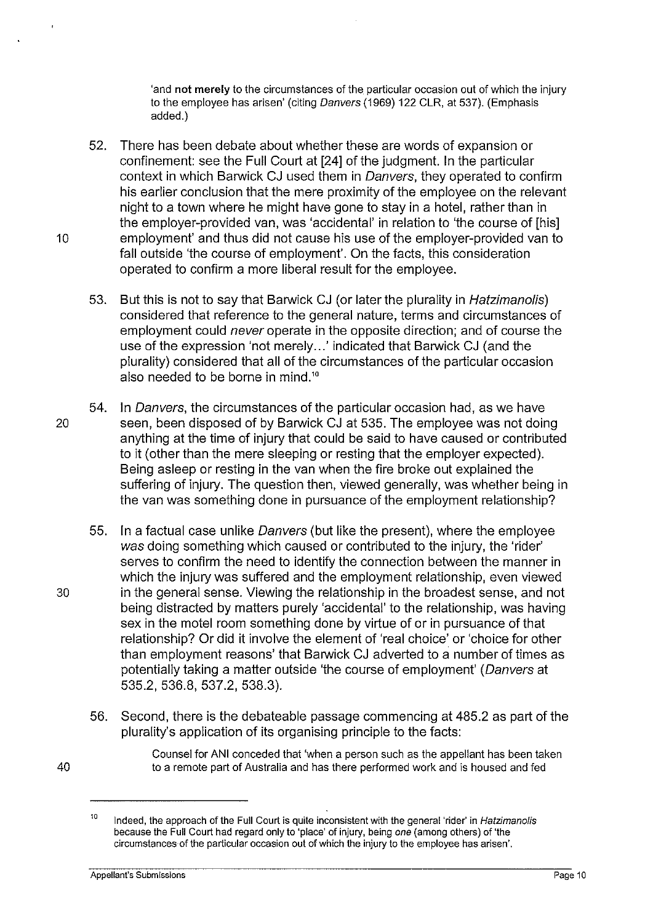'and not merely to the circumstances of the particular occasion out of which the injury to the employee has arisen' (citing Danvers (1969) 122 CLR, at 537). (Emphasis added.)

- 52. There has been debate about whether these are words of expansion or confinement: see the Full Court at [24] of the judgment. In the particular context in which Barwick CJ used them in Danvers, they operated to confirm his earlier conclusion that the mere proximity of the employee on the relevant night to a town where he might have gone to stay in a hotel, rather than in the employer-provided van, was 'accidental' in relation to 'the course of [his] 10 employment' and thus did not cause his use of the employer-provided van to fall outside 'the course of employment'. On the facts, this consideration operated to confirm a more liberal result for the employee.
	- 53. But this is not to say that Barwick CJ (or later the plurality in Hatzimanolis) considered that reference to the general nature, terms and circumstances of employment could never operate in the opposite direction; and of course the use of the expression 'not merely...' indicated that Barwick CJ (and the plurality) considered that all of the circumstances of the particular occasion also needed to be borne in mind."
- 54. In Danvers, the circumstances of the particular occasion had, as we have 20 seen, been disposed of by Barwick CJ at 535. The employee was not doing anything at the time of injury that could be said to have caused or contributed to it (other than the mere sleeping or resting that the employer expected). Being asleep or resting in the van when the fire broke out explained the suffering of injury. The question then, viewed generally, was whether being in the van was something done in pursuance of the employment relationship?
- 55. In a factual case unlike Danvers (but like the present), where the employee was doing something which caused or contributed to the injury, the 'rider' serves to confirm the need to identify the connection between the manner in which the injury was suffered and the employment relationship, even viewed 30 in the general sense. Viewing the relationship in the broadest sense, and not being distracted by matters purely 'accidental' to the relationship, was having sex in the motel room something done by virtue of or in pursuance of that relationship? Or did it involve the element of 'real choice' or 'choice for other than employment reasons' that Barwick CJ adverted to a number of times as potentially taking a matter outside 'the course of employment' (Danvers at 535.2, 536.8, 537.2, 538.3).
	- 56. Second, there is the debateable passage commencing at 485.2 as part of the plurality's application of its organising principle to the facts:

40

Counsel for ANI conceded that 'when a person such as the appellant has been taken to a remote part of Australia and has there performed work and is housed and fed

<sup>10</sup>  Indeed, the approach of the Full Court is quite inconsistent with the general 'rider' in Hatzimanolis because the Full Court had regard only to 'place' of injury, being one (among others) of 'the circumstances· of the particular occasion out of which the injury to the employee has arisen'.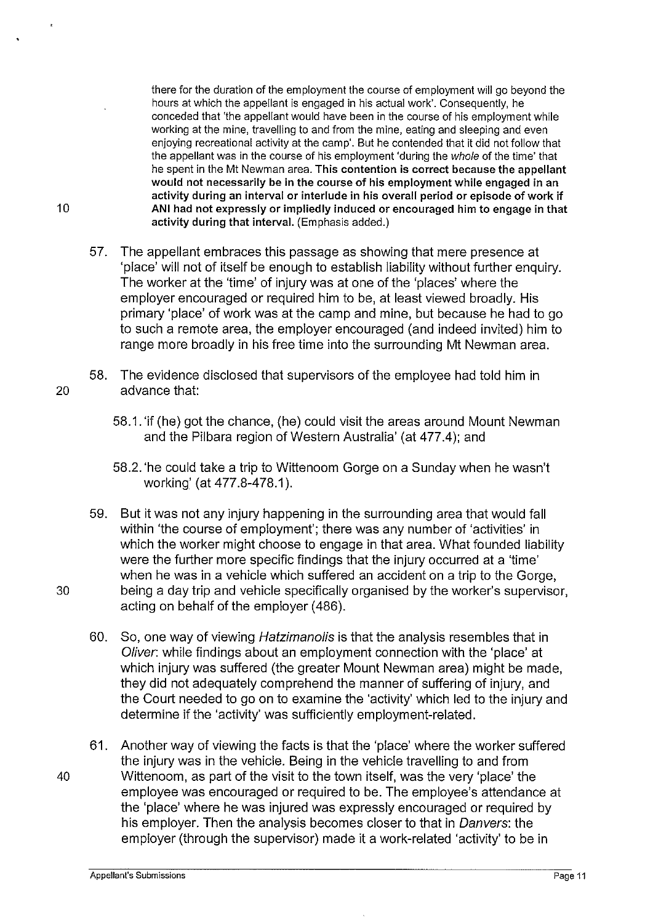there for the duration of the employment the course of employment will go beyond the hours at which the appellant is engaged in his actual work'. Consequently, he conceded that 'the appellant would have been in the course of his employment while working at the mine, travelling to and from the mine, eating and sleeping and even enjoying recreational activity at the camp'. But he contended that it did not follow that the appellant was in the course of his employment 'during the whole of the time' that he spent in the Mt Newman area. This contention is correct because the appellant would not necessarily be in the course of his employment while engaged in an activity during an interval or interlude in his overall period or episode of work if 10 ANI had not expressly or impliedly induced or encouraged him to engage in that activity during that interval. (Emphasis added.)

- 57. The appellant embraces this passage as showing that mere presence at 'place' will not of itself be enough to establish liability without further enquiry. The worker at the 'time' of injury was at one of the 'places' where the employer encouraged or required him to be, at least viewed broadly. His primary 'place' of work was at the camp and mine, but because he had to go to such a remote area, the employer encouraged (and indeed invited) him to range more broadly in his free time into the surrounding Mt Newman area.
- 58. The evidence disclosed that supervisors of the employee had told him in 20 advance that:
	- 58.1. 'if (he) got the chance, (he) could visit the areas around Mount Newman and the Pilbara region of Western Australia' (at 477.4); and
	- 58.2. 'he could take a trip to Wittenoom Gorge on a Sunday when he wasn't working' (at 477.8-478.1 ).
- 59. But it was not any injury happening in the surrounding area that would fall within 'the course of employment'; there was any number of 'activities' in which the worker might choose to engage in that area. What founded liability were the further more specific findings that the injury occurred at a 'time' when he was in a vehicle which suffered an accident on a trip to the Gorge, 30 being a day trip and vehicle specifically organised by the worker's supervisor, acting on behalf of the employer (486).
	- 60. So, one way of viewing Hatzimanolis is that the analysis resembles that in Oliver: while findings about an employment connection with the 'place' at which injury was suffered (the greater Mount Newman area) might be made, they did not adequately comprehend the manner of suffering of injury, and the Court needed to go on to examine the 'activity' which led to the injury and determine if the 'activity' was sufficiently employment-related.
- 61. Another way of viewing the facts is that the 'place' where the worker suffered the injury was in the vehicle. Being in the vehicle travelling to and from 40 Wittenoom, as part of the visit to the town itself, was the very 'place' the employee was encouraged or required to be. The employee's attendance at the 'place' where he was injured was expressly encouraged or required by his employer. Then the analysis becomes closer to that in Danvers: the employer (through the supervisor) made it a work-related 'activity' to be in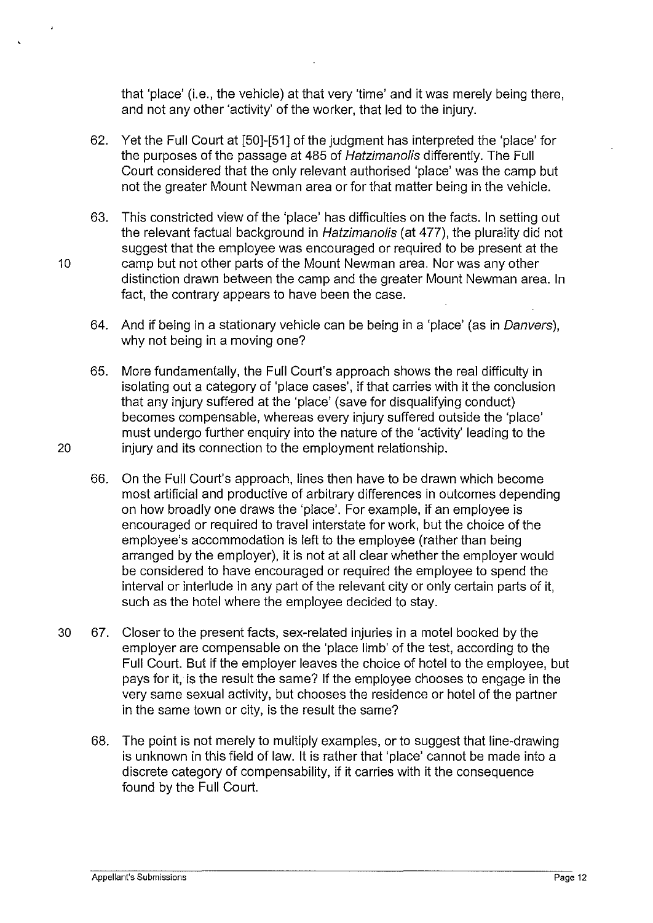that 'place' (i.e., the vehicle) at that very 'time' and it was merely being there, and not any other 'activity' of the worker, that led to the injury.

- 62. Yet the Full Court at [50]-[51] of the judgment has interpreted the 'place' for the purposes of the passage at 485 of Hatzimanolis differently. The Full Court considered that the only relevant authorised 'place' was the camp but not the greater Mount Newman area or for that matter being in the vehicle.
- 63. This constricted view of the 'place' has difficulties on the facts. In setting out the relevant factual background in Hatzimanolis (at 477), the plurality did not suggest that the employee was encouraged or required to be present at the 10 camp but not other parts of the Mount Newman area. Nor was any other distinction drawn between the camp and the greater Mount Newman area. In fact, the contrary appears to have been the case.
	- 64. And if being in a stationary vehicle can be being in a 'place' (as in Danvers), why not being in a moving one?
- 65. More fundamentally, the Full Court's approach shows the real difficulty in isolating out a category of 'place cases', if that carries with it the conclusion that any injury suffered at the 'place' (save for disqualifying conduct) becomes compensable, whereas every injury suffered outside the 'place' must undergo further enquiry into the nature of the 'activity' leading to the 20 injury and its connection to the employment relationship.
	- 66. On the Full Court's approach, lines then have to be drawn which become most artificial and productive of arbitrary differences in outcomes depending on how broadly one draws the 'place'. For example, if an employee is encouraged or required to travel interstate for work, but the choice of the employee's accommodation is left to the employee (rather than being arranged by the employer), it is not at all clear whether the employer would be considered to have encouraged or required the employee to spend the interval or interlude in any part of the relevant city or only certain parts of it, such as the hotel where the employee decided to stay.
- 30 67. Closer to the present facts, sex-related injuries in a motel booked by the employer are compensable on the 'place limb' of the test, according to the Full Court. But if the employer leaves the choice of hotel to the employee, but pays for it, is the result the same? If the employee chooses to engage in the very same sexual activity, but chooses the residence or hotel of the partner in the same town or city, is the result the same?
	- 68. The point is not merely to multiply examples, or to suggest that line-drawing is unknown in this field of law. It is rather that 'place' cannot be made into a discrete category of compensability, if it carries with it the consequence found by the Full Court.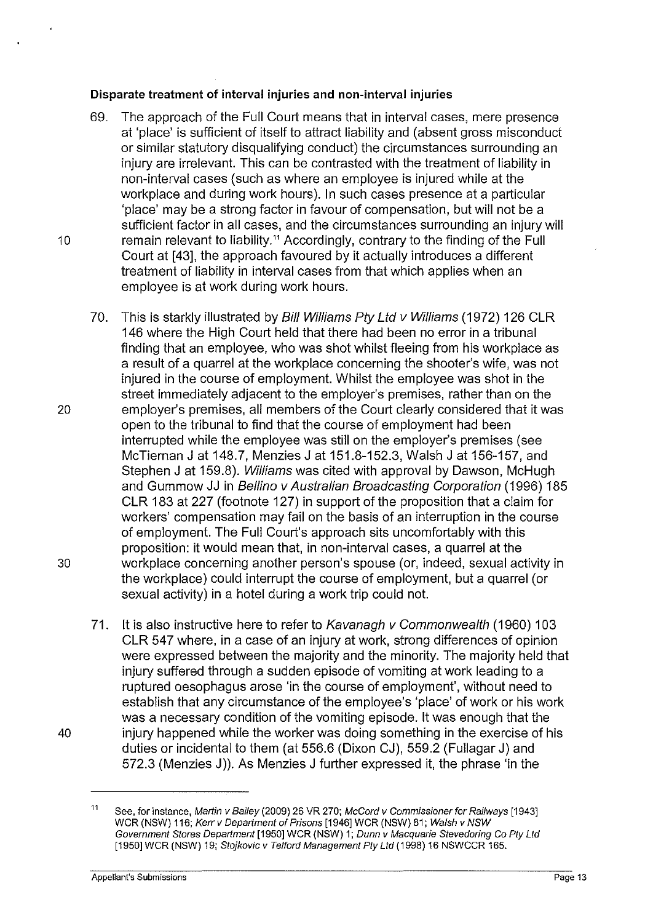## Disparate treatment of interval injuries and non-interval injuries

- 69. The approach of the Full Court means that in interval cases, mere presence at 'place' is sufficient of itself to attract liability and (absent gross misconduct or similar statutory disqualifying conduct) the circumstances surrounding an injury are irrelevant. This can be contrasted with the treatment of liability in non-interval cases (such as where an employee is injured while at the workplace and during work hours). In such cases presence at a particular 'place' may be a strong factor in favour of compensation, but will not be a sufficient factor in all cases, and the circumstances surrounding an injury will 10 remain relevant to liability." Accordingly, contrary to the finding of the Full Court at [43], the approach favoured by it actually introduces a different treatment of liability in interval cases from that which applies when an employee is at work during work hours.
- 70. This is starkly illustrated by Bill Williams Pty Ltd v Williams (1972) 126 CLR 146 where the High Court held that there had been no error in a tribunal finding that an employee, who was shot whilst fleeing from his workplace as a result of a quarrel at the workplace concerning the shooter's wife, was not injured in the course of employment. Whilst the employee was shot in the street immediately adjacent to the employer's premises, rather than on the 20 employer's premises, all members of the Court clearly considered that it was open to the tribunal to find that the course of employment had been interrupted while the employee was still on the employer's premises (see McTiernan J at 148.7, Menzies J at 151.8-152.3, Walsh J at 156-157, and Stephen J at 159.8). Williams was cited with approval by Dawson, McHugh and Gummow JJ in Bellino v Australian Broadcasting Corporation (1996) 185 CLR 183 at 227 (footnote 127) in support of the proposition that a claim for workers' compensation may fail on the basis of an interruption in the course of employment. The Full Court's approach sits uncomfortably with this proposition: it would mean that, in non-interval cases, a quarrel at the 30 workplace concerning another person's spouse (or, indeed, sexual activity in the workplace) could interrupt the course of employment, but a quarrel (or sexual activity) in a hotel during a work trip could not.
- 71. It is also instructive here to refer to Kavanagh v Commonwealth (1960) 103 CLR 547 where, in a case of an injury at work, strong differences of opinion were expressed between the majority and the minority. The majority held that injury suffered through a sudden episode of vomiting at work leading to a ruptured oesophagus arose 'in the course of employment', without need to establish that any circumstance of the employee's 'place' of work or his work was a necessary condition of the vomiting episode. It was enough that the 40 injury happened while the worker was doing something in the exercise of his duties or incidental to them (at 556.6 (Dixon CJ), 559.2 (Fullagar J) and 572.3 (Menzies J)). As Menzies J further expressed it, the phrase 'in the

<sup>11</sup> See, for instance, Martin v Bailey (2009) 26 VR 270; McCord v Commissioner for Railways [1943] WCR (NSW) 116; Kerr v Department of Prisons [1946] WCR (NSW) 81; Walsh v NSW Government Stores Department [1950] WCR (NSW) 1; Dunn v Macquarie Stevedoring Co Pty Ltd [1950] WCR (NSW) 19; Stojkovic v Telford Management Pty Ltd (1998) 16 NSWCCR 165.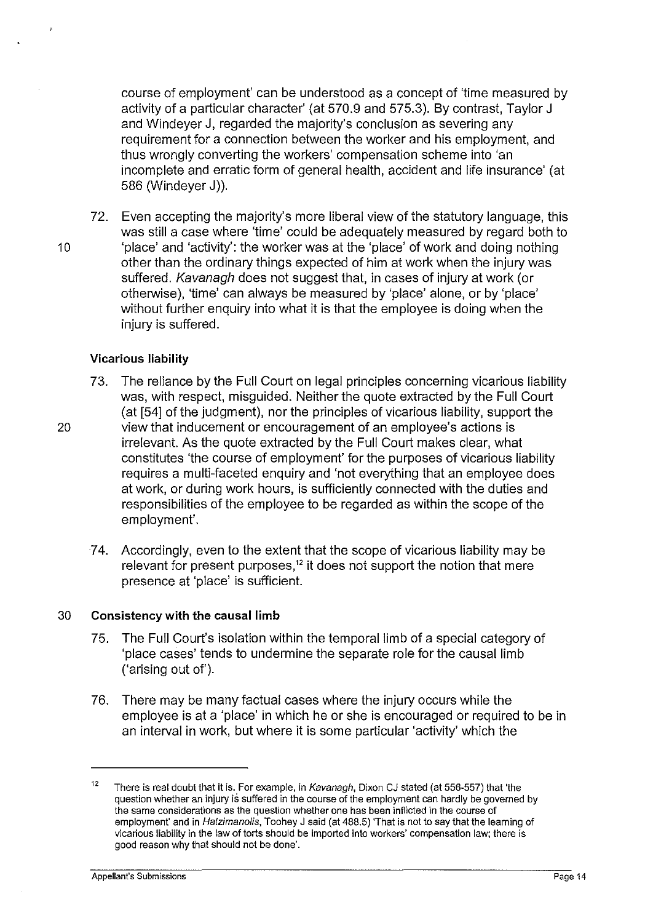course of employment' can be understood as a concept of 'time measured by activity of a particular character' (at 570.9 and 575.3). By contrast, Taylor J and Windeyer J, regarded the majority's conclusion as severing any requirement for a connection between the worker and his employment, and thus wrongly converting the workers' compensation scheme into 'an incomplete and erratic form of general health, accident and life insurance' (at 586 (Windeyer J)).

72. Even accepting the majority's more liberal view of the statutory language, this was still a case where 'time' could be adequately measured by regard both to 10 b 'place' and 'activity': the worker was at the 'place' of work and doing nothing other than the ordinary things expected of him at work when the injury was suffered. Kavanagh does not suggest that, in cases of injury at work (or otherwise), 'time' can always be measured by 'place' alone, or by 'place' without further enquiry into what it is that the employee is doing when the injury is suffered.

#### Vicarious liability

- 73. The reliance by the Full Court on legal principles concerning vicarious liability was, with respect, misguided. Neither the quote extracted by the Full Court (at [54] of the judgment), nor the principles of vicarious liability, support the 20 view that inducement or encouragement of an employee's actions is irrelevant. As the quote extracted by the Full Court makes clear, what constitutes 'the course of employment' for the purposes of vicarious liability requires a multi-faceted enquiry and 'not everything that an employee does at work, or during work hours, is sufficiently connected with the duties and responsibilities of the employee to be regarded as within the scope of the employment'.
	- 7 4. Accordingly, even to the extent that the scope of vicarious liability may be relevant for present purposes,<sup>12</sup> it does not support the notion that mere presence at 'place' is sufficient.

#### 30 Consistency with the causal limb

- 75. The Full Court's isolation within the temporal limb of a special category of 'place cases' tends to undermine the separate role for the causal limb ('arising out of').
- 76. There may be many factual cases where the injury occurs while the employee is at a 'place' in which he or she is encouraged or required to be in an interval in work, but where it is some particular 'activity' which the

**Appellant's Submissions** Page 14

<sup>&</sup>lt;sup>12</sup> There is real doubt that it is. For example, in Kavanagh, Dixon CJ stated (at 556-557) that 'the question whether an injury is suffered in the course of the employment can hardly be governed by the same considerations as the question whether one has been inflicted in the course of employment' and in Hatzimanolis, Toohey J said (at 488.5) 'That is not to say that the learning of vicarious liability in the law of torts should be imported into workers' compensation law; there is good reason why that should not be done'.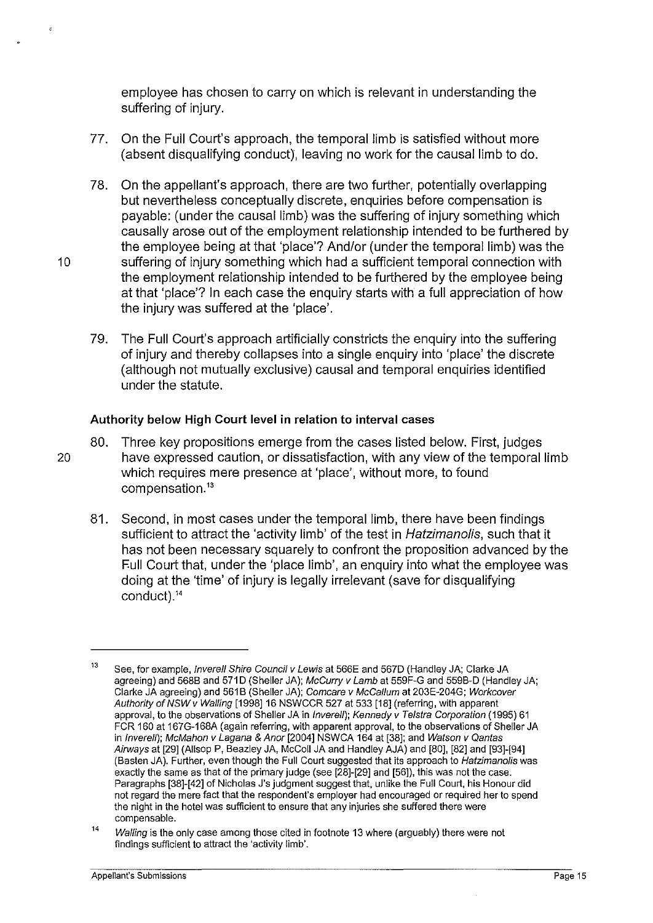employee has chosen to carry on which is relevant in understanding the suffering of injury.

- 77. On the Full Court's approach, the temporal limb is satisfied without more (absent disqualifying conduct), leaving no work for the causal limb to do.
- 78. On the appellant's approach, there are two further, potentially overlapping but nevertheless conceptually discrete, enquiries before compensation is payable: (under the causal limb) was the suffering of injury something which causally arose out of the employment relationship intended to be furthered by the employee being at that 'place'? And/or (under the temporal limb) was the 10 suffering of injury something which had a sufficient temporal connection with the employment relationship intended to be furthered by the employee being at that 'place'? In each case the enquiry starts with a full appreciation of how the injury was suffered at the 'place'.
	- 79. The Full Court's approach artificially constricts the enquiry into the suffering of injury and thereby collapses into a single enquiry into 'place' the discrete (although not mutually exclusive) causal and temporal enquiries identified under the statute.

# **Authority below High Court level in relation to interval** cases

80. Three key propositions emerge from the cases listed below. First, judges 20 have expressed caution, or dissatisfaction, with any view of the temporal limb which requires mere presence at 'place', without more, to found compensation.<sup>13</sup>

81. Second, in most cases under the temporal limb, there have been findings sufficient to attract the 'activity limb' of the test in Hatzimanolis, such that it has not been necessary squarely to confront the proposition advanced by the F.ull Court that, under the 'place limb', an enquiry into what the employee was doing at the 'time' of injury is legally irrelevant (save for disqualifying conduct).<sup>14</sup>

<sup>13</sup>  See, for example, *Inverell Shire Council v Lewis* at 566E and 567D (Handley JA; Clarke JA agreeing) and 568B and 571D (Sheller JA); McCurry v Lamb at 559F-G and 559B-D (Handley JA; Clarke JA agreeing) and 561B (Sheller JA); Comcare v McCallum at 203E-204G; Workcover Authority of NSW v Walling [1998] 16 NSWCCR 527 at 533 [18] (referring, with apparent approval, to the observations of Sheller JA in Inverell); Kennedy v Telstra Corporation (1995) 61 FCR 160 at 167G-168A (again referring, with apparent approval. to the observations of Sheller JA in /nvere/1); McMahon v Lagana & Anor [2004] NSWCA 164 at [38]; and Watson v Qantas Airways at [29] (Allsop P, Beazley JA, McColl JA and Handley AJA) and [80], [82] and [93]-[94] (Basten JA). Further, even though the Full Court suggested that its approach to Hatzimanolis was exactly the same as that of the primary judge (see [28]-[29] and [56]), this was not the case. Paragraphs [38]-[42] of Nicholas J's judgment suggest that. unlike the Full Court, his Honour did not regard the mere fact that the respondent"s employer had encouraged or required her to spend the night in the hotel was sufficient to ensure that any injuries she suffered there were compensable.

<sup>14</sup>  Walling is the only case among those cited in footnote 13 where (arguably) there were not findings sufficient to attract the 'activity limb'.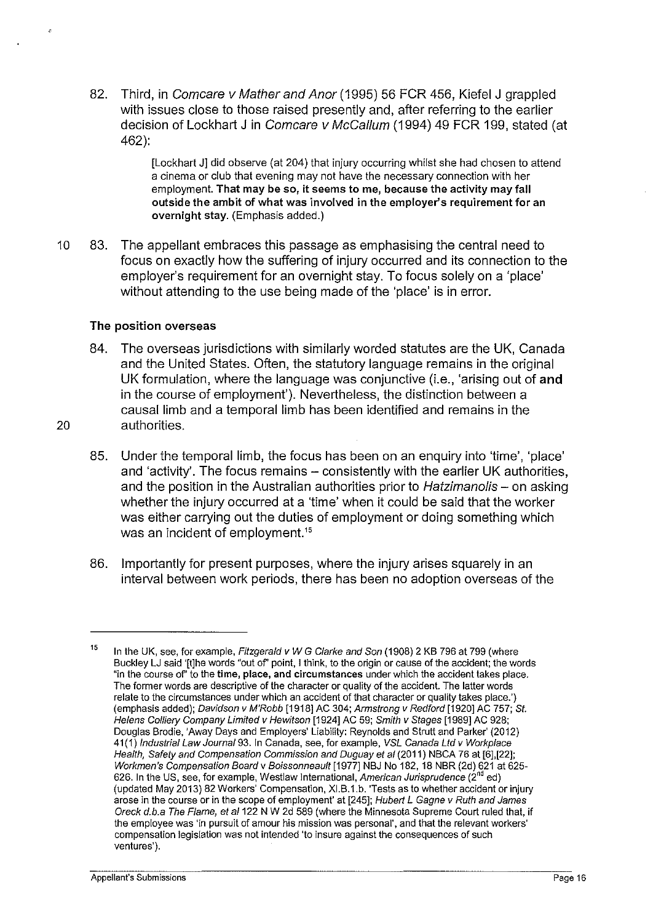82. Third, in Comcare v Mather and Anor (1995) 56 FCR 456, Kiefel J grappled with issues close to those raised presently and, after referring to the earlier decision of Lockhart J in Comcare v McCallum (1994) 49 FCR 199, stated (at 462):

> [Lockhart J] did observe (at 204) that injury occurring whilst she had chosen to attend a cinema or club that evening may not have the necessary connection with her employment. That may be so, it seems to me, because the activity may fall outside the ambit of what was involved in the employer's requirement for an overnight stay. (Emphasis added.)

10 83. The appellant embraces this passage as emphasising the central need to focus on exactly how the suffering of injury occurred and its connection to the employer's requirement for an overnight stay. To focus solely on a 'place' without attending to the use being made of the 'place' is in error.

## The position overseas

- 84. The overseas jurisdictions with similarly worded statutes are the UK, Canada and the United States. Often, the statutory language remains in the original UK formulation, where the language was conjunctive (i.e., 'arising out of and in the course of employment'). Nevertheless, the distinction between a causal limb and a temporal limb has been identified and remains in the 20 authorities.
- 
- 85. Under the temporal limb, the focus has been on an enquiry into 'time', 'place' and 'activity'. The focus remains – consistently with the earlier UK authorities, and the position in the Australian authorities prior to Hatzimanolis - on asking whether the injury occurred at a 'time' when it could be said that the worker was either carrying out the duties of employment or doing something which was an incident of employment.<sup>15</sup>
- 86. Importantly for present purposes, where the injury arises squarely in an interval between work periods, there has been no adoption overseas of the

<sup>15</sup>  In the UK, see, for example, Fitzgerald v W G Clarke and Son (1908) 2 KB 796 at 799 (where Buckley LJ said '[!]he words "out of' point, I think, to the origin or cause of the accident; the words "in the course of' to the time, place, and circumstances under which the accident takes place. The former words are descriptive of the character or quality of the accident. The latter words relate to the circumstances under which an accident of that character or quality takes place.') (emphasis added); Davidson v M'Robb [1918] AC 304; Armstrong v Redford [1920] AC 757; St. Helens Colliery Company Limited v Hewitson [1924] AC 59; Smith v Stages [1989] AC 928; Douglas Brodie, 'Away Days and Employers' Liability: Reynolds and Strutt and Parker' (2012) 41(1) Industrial Law Journa/93. In Canada, see, for example, VSL Canada Ltd v Workplace Health, Safety and Compensation Commission and Duguay et at (2011) NBCA 76 at [6],[22]; Workmen's Compensation Board v Boissonneault [1977] NBJ No 182, 18 NBR (2d) 621 at 625- 626. In the US, see, for example, Westlaw International, American Jurisprudence (2<sup>nd</sup> ed) (updated May 2013) 82 Workers' Compensation, XI.B.1.b. 'Tests as to whether accident or injury arose in the course or in the scope of employment' at [245]; Hubert L Gagne v Ruth and James Oreck d.b.a The Flame, et al 122 N W 2d 589 (where the Minnesota Supreme Court ruled that, if the employee was 'in pursuit of amour his mission was personal', and that the relevant workers' compensation legislation was not intended 'to insure against the consequences of such ventures').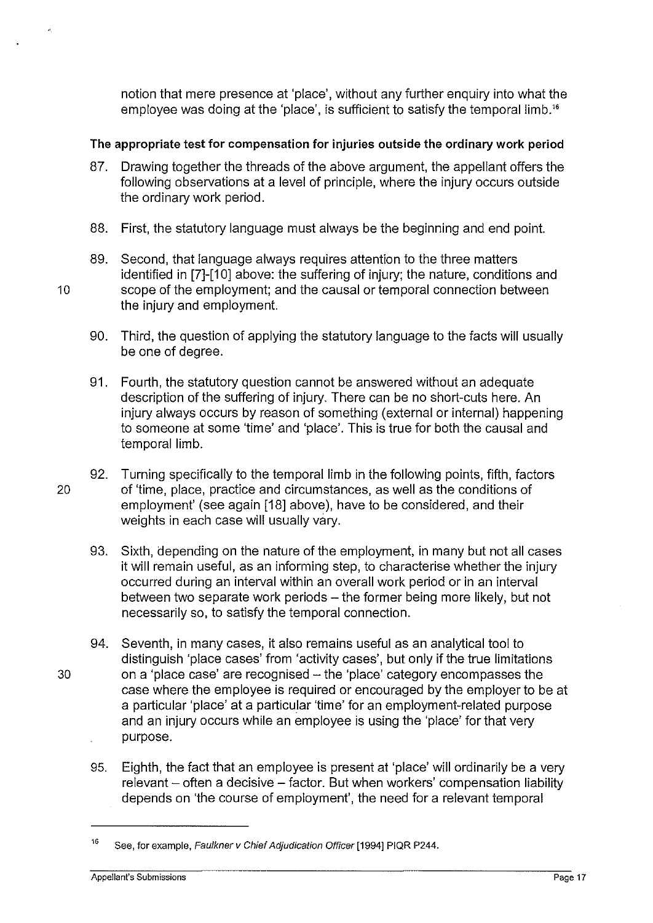notion that mere presence at 'place', without any further enquiry into what the employee was doing at the 'place', is sufficient to satisfy the temporal limb."

# The appropriate test for compensation for injuries outside the ordinary work period

- 87. Drawing together the threads of the above argument, the appellant offers the following observations at a level of principle, where the injury occurs outside the ordinary work period.
- 88. First, the statutory language must always be the beginning and end point.
- 89. Second, that language always requires attention to the three matters identified in [7]-[10] above: the suffering of injury; the nature, conditions and 10 scope of the employment; and the causal or temporal connection between the injury and employment.
	- 90. Third, the question of applying the statutory language to the facts will usually be one of degree.
	- 91. Fourth, the statutory question cannot be answered without an adequate description of the suffering of injury. There can be no short-cuts here. An injury always occurs by reason of something (external or internal) happening to someone at some 'time' and 'place'. This is true for both the causal and temporal limb.
- 92. Turning specifically to the temporal limb in the following points, fifth, factors 20 of 'time, place, practice and circumstances, as well as the conditions of employment' (see again [18] above), have to be considered, and their weights in each case will usually vary.
	- 93. Sixth, depending on the nature of the employment. in many but not all cases it will remain useful, as an informing step, to characterise whether the injury occurred during an interval within an overall work period or in an interval between two separate work periods- the former being more likely, but not necessarily so, to satisfy the temporal connection.
- 94. Seventh, in many cases, it also remains useful as an analytical tool to distinguish 'place cases' from 'activity cases', but only if the true limitations 30 on a 'place case' are recognised -the 'place' category encompasses the case where the employee is required or encouraged by the employer to be at a particular 'place' at a particular 'time' for an employment-related purpose and an injury occurs while an employee is using the 'place' for that very purpose.
	- 95. Eighth, the fact that an employee is present at 'place' will ordinarily be a very relevant - often a decisive - factor. But when workers' compensation liability depends on 'the course of employment', the need for a relevant temporal

<sup>16</sup>  See, for example, Faulkner v Chief Adjudication Officer [1994] PIQR P244.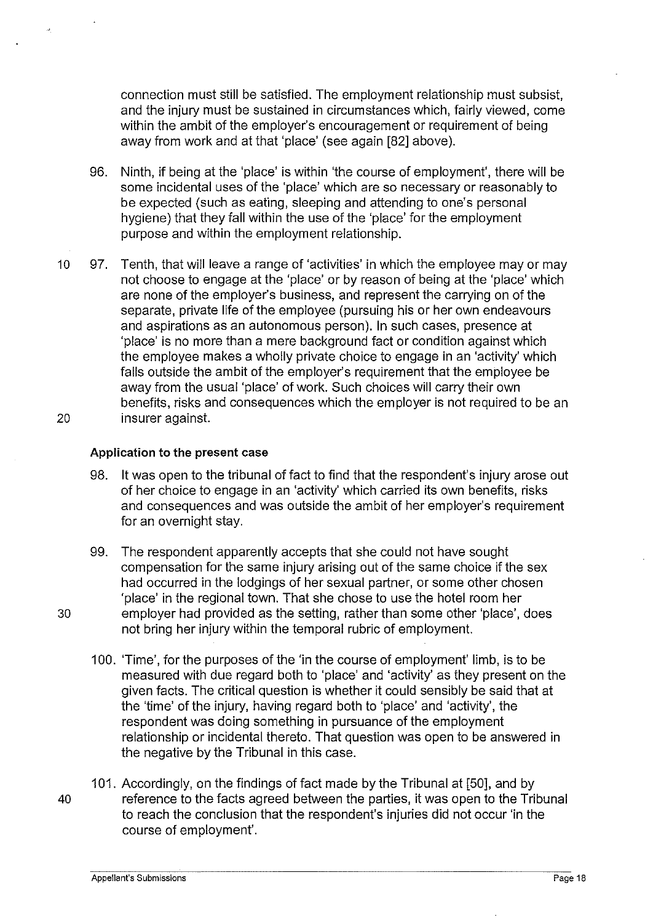connection must still be satisfied. The employment relationship must subsist, and the injury must be sustained in circumstances which, fairly viewed, come within the ambit of the employer's encouragement or requirement of being away from work and at that 'place' (see again [82] above).

- 96. Ninth, if being at the 'place' is within 'the course of employment', there will be some incidental uses of the 'place' which are so necessary or reasonably to be expected (such as eating, sleeping and attending to one's personal hygiene) that they fall within the use of the 'place' for the employment purpose and within the employment relationship.
- 10 97. Tenth, that will leave a range of 'activities' in which the employee may or may not choose to engage at the 'place' or by reason of being at the 'place' which are none of the employer's business, and represent the carrying on of the separate, private life of the employee (pursuing his or her own endeavours and aspirations as an autonomous person). In such cases, presence at 'place' is no more than a mere background fact or condition against which the employee makes a wholly private choice to engage in an 'activity' which falls outside the ambit of the employer's requirement that the employee be away from the usual 'place' of work. Such choices will carry their own benefits, risks and consequences which the employer is not required to be an 20 insurer against.

#### **Application to the present** case

- 98. It was open to the tribunal of fact to find that the respondent's injury arose out of her choice to engage in an 'activity' which carried its own benefits, risks and consequences and was outside the ambit of her employer's requirement for an overnight stay.
- 99. The respondent apparently accepts that she could not have sought compensation for the same injury arising out of the same choice if the sex had occurred in the lodgings of her sexual partner, or some other chosen 'place' in the regional town. That she chose to use the hotel room her 30 employer had provided as the setting, rather than some other 'place', does not bring her injury within the temporal rubric of employment.
	- 100. 'Time', for the purposes of the 'in the course of employment' limb, is to be measured with due regard both to 'place' and 'activity' as they present on the given facts. The critical question is whether it could sensibly be said that at the 'time' of the injury, having regard both to 'place' and 'activity', the respondent was doing something in pursuance of the employment relationship or incidental thereto. That question was open to be answered in the negative by the Tribunal in this case.
- 101. Accordingly, on the findings of fact made by the Tribunal at [50], and by 40 reference to the facts agreed between the parties, it was open to the Tribunal to reach the conclusion that the respondent's injuries did not occur 'in the course of employment'.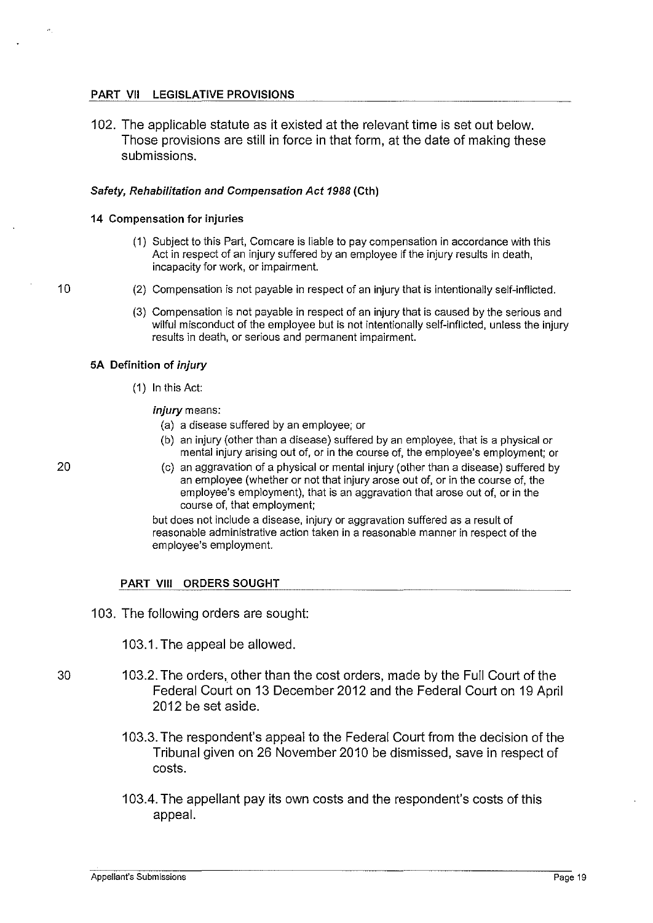#### PART VII LEGISLATIVE PROVISIONS

102. The applicable statute as it existed at the relevant time is set out below. Those provisions are still in force in that form, at the date of making these submissions.

#### Safety, Rehabilitation and Compensation Act 1988 (Cth)

#### 14 Compensation for injuries

- (1) Subject to this Part, Comcare is liable to pay compensation in accordance with this Act in respect of an injury suffered by an employee if the injury results in death, incapacity for work, or impairment.
- (2) Compensation is not payable in respect of an injury that is intentionally self-inflicted.
	- (3) Compensation is not payable in respect of an injury that is caused by the serious and wilful misconduct of the employee but is not intentionally self-inflicted, unless the injury results in death, or serious and permanent impairment.

#### SA Definition of injury

(1) In this Act:

injury means:

- (a) a disease suffered by an employee; or
- (b) an injury (other than a disease) suffered by an employee, that is a physical or mental injury arising out of, or in the course of, the employee's employment; or
- (c) an aggravation of a physical or mental injury (other than a disease) suffered by an employee (whether or not that injury arose out of, or in the course of, the employee's employment), that is an aggravation that arose out of, or in the course of, that employment;

but does not include a disease, injury or aggravation suffered as a result of reasonable administrative action taken in a reasonable manner in respect of the employee's employment.

#### PART VIII ORDERS SOUGHT

103. The following orders are sought:

103.1. The appeal be allowed.

- 30 1 03.2. The orders, other than the cost orders, made by the Full Court of the Federal Court on 13 December 2012 and the Federal Court on 19 April 2012 be set aside.
	- 1 03.3. The respondent's appeal to the Federal Court from the decision of the Tribunal given on 26 November 2010 be dismissed, save in respect of costs.
	- 1 03.4. The appellant pay its own costs and the respondent's costs of this appeal.

20

10